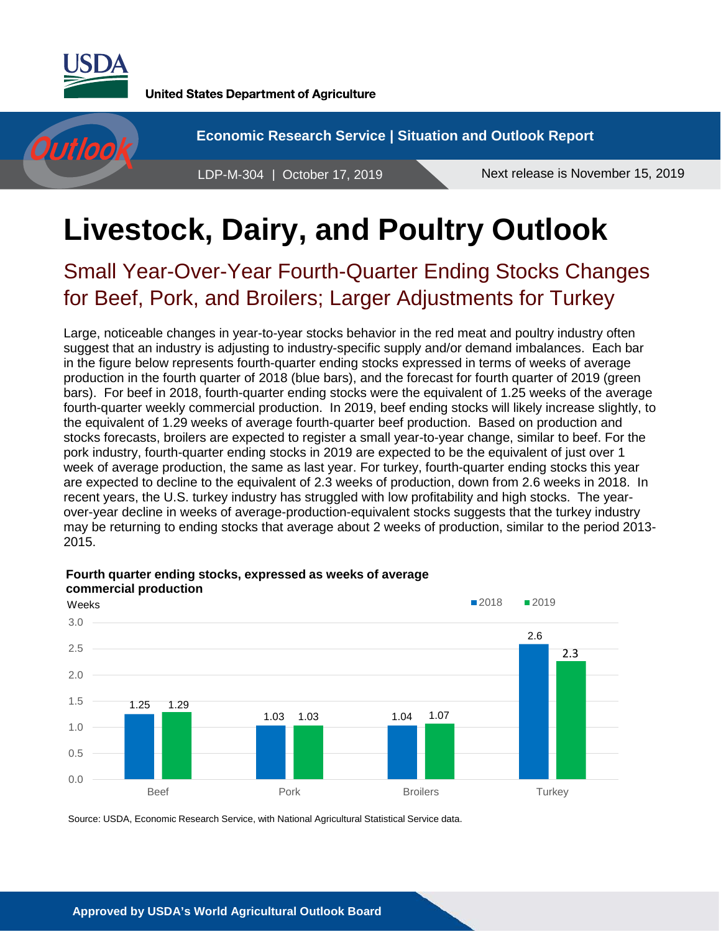

Outloo

**United States Department of Agriculture** 

**Economic Research Service | Situation and Outlook Report**

LDP-M-304 | October 17, 2019 Next release is November 15, 2019

# **Livestock, Dairy, and Poultry Outlook**

Small Year-Over-Year Fourth-Quarter Ending Stocks Changes for Beef, Pork, and Broilers; Larger Adjustments for Turkey

Large, noticeable changes in year-to-year stocks behavior in the red meat and poultry industry often suggest that an industry is adjusting to industry-specific supply and/or demand imbalances. Each bar in the figure below represents fourth-quarter ending stocks expressed in terms of weeks of average production in the fourth quarter of 2018 (blue bars), and the forecast for fourth quarter of 2019 (green bars). For beef in 2018, fourth-quarter ending stocks were the equivalent of 1.25 weeks of the average fourth-quarter weekly commercial production. In 2019, beef ending stocks will likely increase slightly, to the equivalent of 1.29 weeks of average fourth-quarter beef production. Based on production and stocks forecasts, broilers are expected to register a small year-to-year change, similar to beef. For the pork industry, fourth-quarter ending stocks in 2019 are expected to be the equivalent of just over 1 week of average production, the same as last year. For turkey, fourth-quarter ending stocks this year are expected to decline to the equivalent of 2.3 weeks of production, down from 2.6 weeks in 2018. In recent years, the U.S. turkey industry has struggled with low profitability and high stocks. The yearover-year decline in weeks of average-production-equivalent stocks suggests that the turkey industry may be returning to ending stocks that average about 2 weeks of production, similar to the period 2013- 2015.



**Fourth quarter ending stocks, expressed as weeks of average commercial production** 

Source: USDA, Economic Research Service, with National Agricultural Statistical Service data.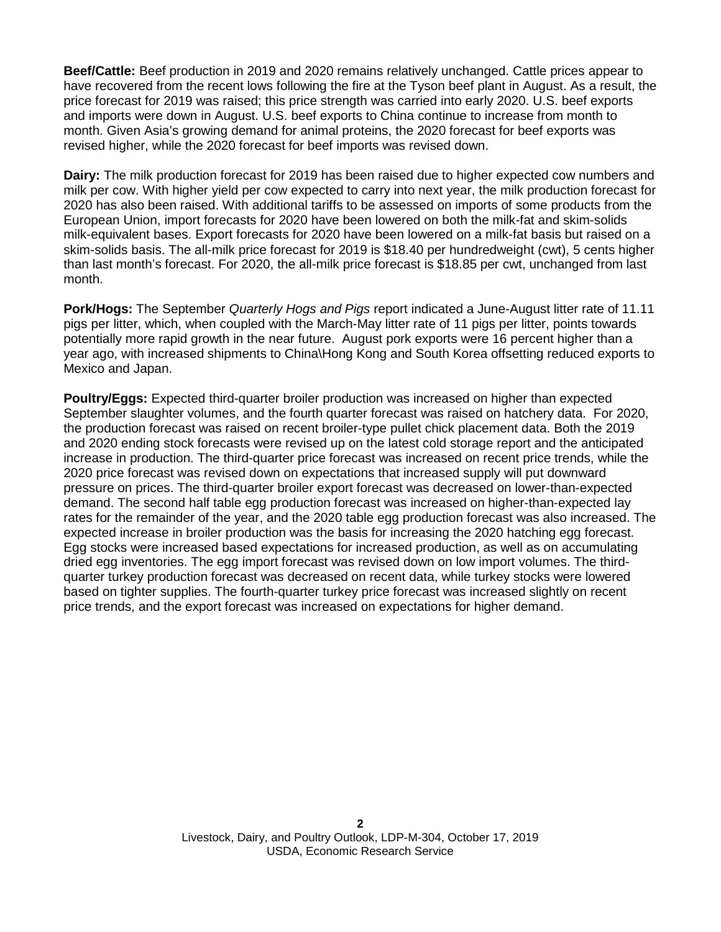**Beef/Cattle:** Beef production in 2019 and 2020 remains relatively unchanged. Cattle prices appear to have recovered from the recent lows following the fire at the Tyson beef plant in August. As a result, the price forecast for 2019 was raised; this price strength was carried into early 2020. U.S. beef exports and imports were down in August. U.S. beef exports to China continue to increase from month to month. Given Asia's growing demand for animal proteins, the 2020 forecast for beef exports was revised higher, while the 2020 forecast for beef imports was revised down.

**Dairy:** The milk production forecast for 2019 has been raised due to higher expected cow numbers and milk per cow. With higher yield per cow expected to carry into next year, the milk production forecast for 2020 has also been raised. With additional tariffs to be assessed on imports of some products from the European Union, import forecasts for 2020 have been lowered on both the milk-fat and skim-solids milk-equivalent bases. Export forecasts for 2020 have been lowered on a milk-fat basis but raised on a skim-solids basis. The all-milk price forecast for 2019 is \$18.40 per hundredweight (cwt), 5 cents higher than last month's forecast. For 2020, the all-milk price forecast is \$18.85 per cwt, unchanged from last month.

**Pork/Hogs:** The September *Quarterly Hogs and Pigs* report indicated a June-August litter rate of 11.11 pigs per litter, which, when coupled with the March-May litter rate of 11 pigs per litter, points towards potentially more rapid growth in the near future. August pork exports were 16 percent higher than a year ago, with increased shipments to China\Hong Kong and South Korea offsetting reduced exports to Mexico and Japan.

**Poultry/Eggs:** Expected third-quarter broiler production was increased on higher than expected September slaughter volumes, and the fourth quarter forecast was raised on hatchery data. For 2020, the production forecast was raised on recent broiler-type pullet chick placement data. Both the 2019 and 2020 ending stock forecasts were revised up on the latest cold storage report and the anticipated increase in production. The third-quarter price forecast was increased on recent price trends, while the 2020 price forecast was revised down on expectations that increased supply will put downward pressure on prices. The third-quarter broiler export forecast was decreased on lower-than-expected demand. The second half table egg production forecast was increased on higher-than-expected lay rates for the remainder of the year, and the 2020 table egg production forecast was also increased. The expected increase in broiler production was the basis for increasing the 2020 hatching egg forecast. Egg stocks were increased based expectations for increased production, as well as on accumulating dried egg inventories. The egg import forecast was revised down on low import volumes. The thirdquarter turkey production forecast was decreased on recent data, while turkey stocks were lowered based on tighter supplies. The fourth-quarter turkey price forecast was increased slightly on recent price trends, and the export forecast was increased on expectations for higher demand.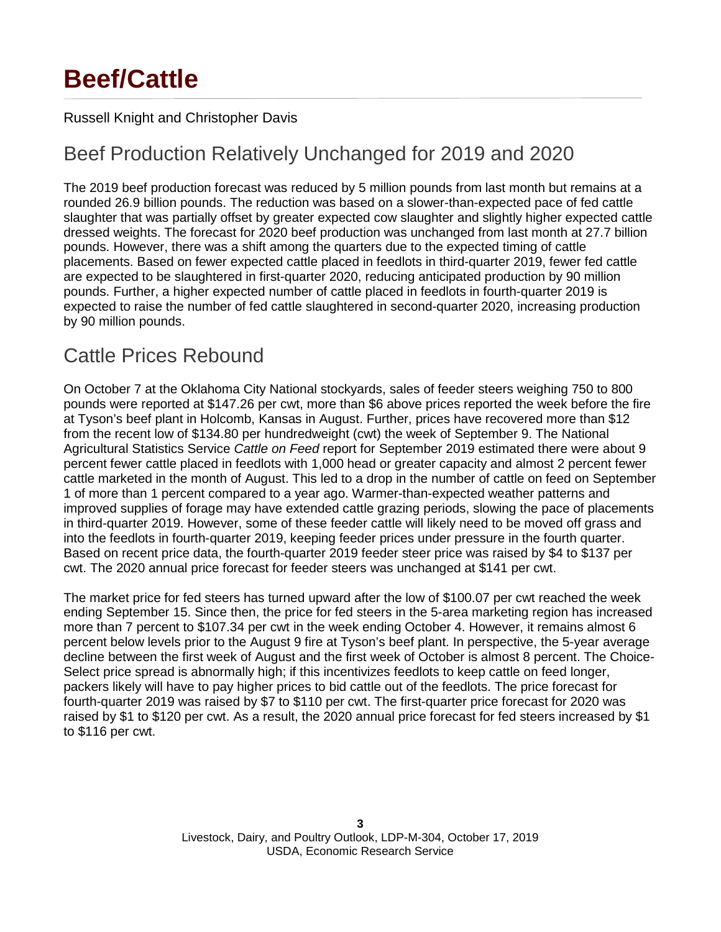## **Beef/Cattle**

#### Russell Knight and Christopher Davis

## Beef Production Relatively Unchanged for 2019 and 2020

The 2019 beef production forecast was reduced by 5 million pounds from last month but remains at a rounded 26.9 billion pounds. The reduction was based on a slower-than-expected pace of fed cattle slaughter that was partially offset by greater expected cow slaughter and slightly higher expected cattle dressed weights. The forecast for 2020 beef production was unchanged from last month at 27.7 billion pounds. However, there was a shift among the quarters due to the expected timing of cattle placements. Based on fewer expected cattle placed in feedlots in third-quarter 2019, fewer fed cattle are expected to be slaughtered in first-quarter 2020, reducing anticipated production by 90 million pounds. Further, a higher expected number of cattle placed in feedlots in fourth-quarter 2019 is expected to raise the number of fed cattle slaughtered in second-quarter 2020, increasing production by 90 million pounds.

## Cattle Prices Rebound

On October 7 at the Oklahoma City National stockyards, sales of feeder steers weighing 750 to 800 pounds were reported at \$147.26 per cwt, more than \$6 above prices reported the week before the fire at Tyson's beef plant in Holcomb, Kansas in August. Further, prices have recovered more than \$12 from the recent low of \$134.80 per hundredweight (cwt) the week of September 9. The National Agricultural Statistics Service *Cattle on Feed* report for September 2019 estimated there were about 9 percent fewer cattle placed in feedlots with 1,000 head or greater capacity and almost 2 percent fewer cattle marketed in the month of August. This led to a drop in the number of cattle on feed on September 1 of more than 1 percent compared to a year ago. Warmer-than-expected weather patterns and improved supplies of forage may have extended cattle grazing periods, slowing the pace of placements in third-quarter 2019. However, some of these feeder cattle will likely need to be moved off grass and into the feedlots in fourth-quarter 2019, keeping feeder prices under pressure in the fourth quarter. Based on recent price data, the fourth-quarter 2019 feeder steer price was raised by \$4 to \$137 per cwt. The 2020 annual price forecast for feeder steers was unchanged at \$141 per cwt.

The market price for fed steers has turned upward after the low of \$100.07 per cwt reached the week ending September 15. Since then, the price for fed steers in the 5-area marketing region has increased more than 7 percent to \$107.34 per cwt in the week ending October 4. However, it remains almost 6 percent below levels prior to the August 9 fire at Tyson's beef plant. In perspective, the 5-year average decline between the first week of August and the first week of October is almost 8 percent. The Choice-Select price spread is abnormally high; if this incentivizes feedlots to keep cattle on feed longer, packers likely will have to pay higher prices to bid cattle out of the feedlots. The price forecast for fourth-quarter 2019 was raised by \$7 to \$110 per cwt. The first-quarter price forecast for 2020 was raised by \$1 to \$120 per cwt. As a result, the 2020 annual price forecast for fed steers increased by \$1 to \$116 per cwt.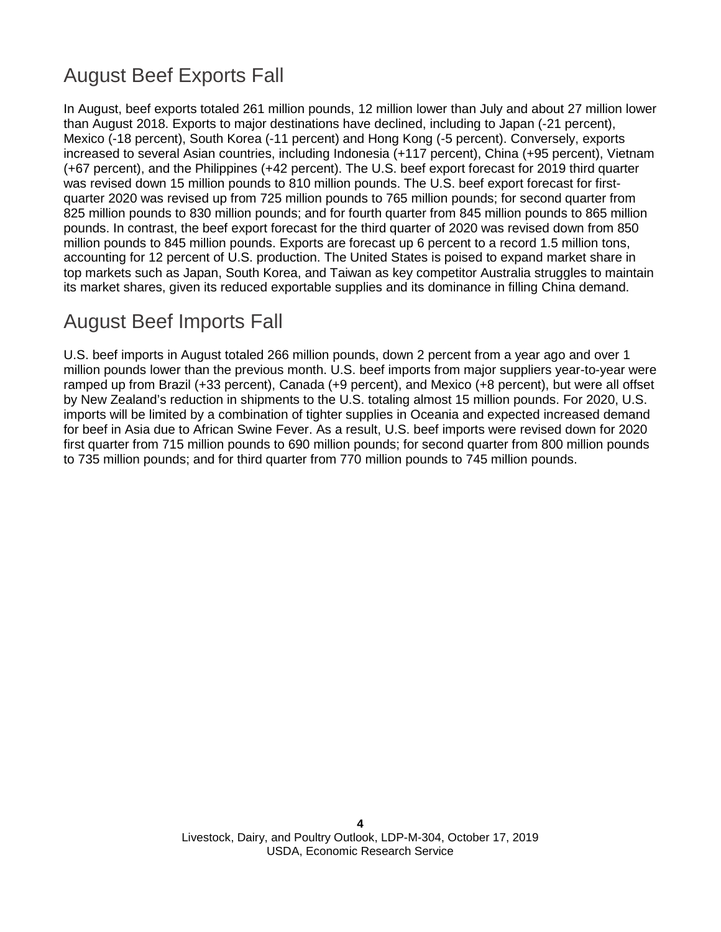## August Beef Exports Fall

In August, beef exports totaled 261 million pounds, 12 million pounds lower than July and about 27 million pounds lower than August 2018. Exports to major destinations have declined, including to Japan (-21 percent), Mexico (-18 percent), South Korea (-11 percent) and Hong Kong (-5 percent). Conversely, exports increased to several Asian countries, including Indonesia (+117 percent), China (+95 percent), Vietnam (+67 percent), and the Philippines (+42 percent). The U.S. beef export forecast for 2019 third quarter was revised down 15 million pounds to 810 million pounds. The U.S. beef export forecast for first-quarter 2020 was revised up from 725 million pounds to 765 million pounds; for second quarter from 825 million pounds to 830 million pounds; and for fourth quarter from 845 million pounds to 865 million pounds. In contrast, the beef export forecast for the third quarter of 2020 was revised down from 850 million pounds to 845 million pounds. Total exports in 2020 are forecast up 6 percent to a record 3.3 billion pounds, accounting for 12 percent of U.S. production. The United States is poised to expand market share in top markets such as Japan, South Korea, and Taiwan as key competitor Australia struggles to maintain its market shares, given its reduced exportable supplies and its dominance in filling China demand.

## August Beef Imports Fall

U.S. beef imports in August totaled 266 million pounds, down 2 percent from a year ago and over 1 million pounds lower than the previous month. U.S. beef imports from major suppliers year-to-year were ramped up from Brazil (+33 percent), Canada (+9 percent), and Mexico (+8 percent), but were all offset by New Zealand's reduction in shipments to the U.S. totaling almost 15 million pounds. For 2020, U.S. imports will likely be limited by a combination of tighter supplies in Oceania and expected increased demand for beef in Asia due to African Swine Fever. As a result, U.S. beef imports were revised down for 2020 first quarter from 715 million pounds to 690 million pounds; for second quarter from 800 million pounds to 735 million pounds; and for third quarter from 770 million pounds to 745 million pounds.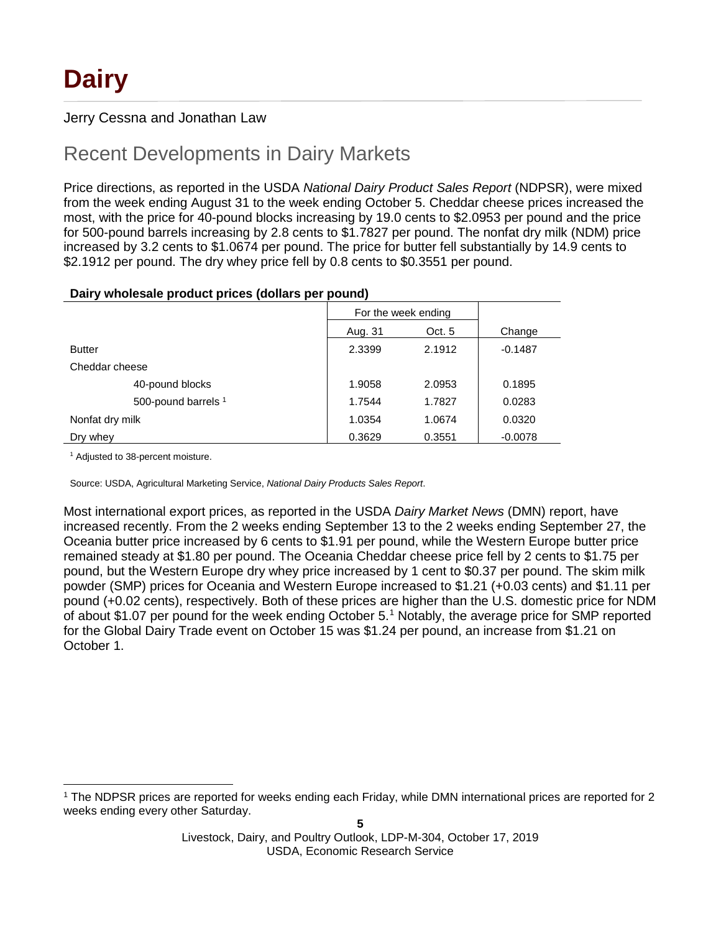#### Jerry Cessna and Jonathan Law

## Recent Developments in Dairy Markets

Price directions, as reported in the USDA *National Dairy Product Sales Report* (NDPSR), were mixed from the week ending August 31 to the week ending October 5. Cheddar cheese prices increased the most, with the price for 40-pound blocks increasing by 19.0 cents to \$2.0953 per pound and the price for 500-pound barrels increasing by 2.8 cents to \$1.7827 per pound. The nonfat dry milk (NDM) price increased by 3.2 cents to \$1.0674 per pound. The price for butter fell substantially by 14.9 cents to \$2.1912 per pound. The dry whey price fell by 0.8 cents to \$0.3551 per pound.

#### **Dairy wholesale product prices (dollars per pound)**

|                                | For the week ending |        |           |
|--------------------------------|---------------------|--------|-----------|
|                                | Aug. 31             | Oct. 5 | Change    |
| <b>Butter</b>                  | 2.3399              | 2.1912 | $-0.1487$ |
| Cheddar cheese                 |                     |        |           |
| 40-pound blocks                | 1.9058              | 2.0953 | 0.1895    |
| 500-pound barrels <sup>1</sup> | 1.7544              | 1.7827 | 0.0283    |
| Nonfat dry milk                | 1.0354              | 1.0674 | 0.0320    |
| Dry whey                       | 0.3629              | 0.3551 | $-0.0078$ |

<sup>1</sup> Adjusted to 38-percent moisture.

Source: USDA, Agricultural Marketing Service, *National Dairy Products Sales Report*.

Most international export prices, as reported in the USDA *Dairy Market News* (DMN) report, have increased recently. From the 2 weeks ending September 13 to the 2 weeks ending September 27, the Oceania butter price increased by 6 cents to \$1.91 per pound, while the Western Europe butter price remained steady at \$1.80 per pound. The Oceania Cheddar cheese price fell by 2 cents to \$1.75 per pound, but the Western Europe dry whey price increased by 1 cent to \$0.37 per pound. The skim milk powder (SMP) prices for Oceania and Western Europe increased to \$1.21 (+0.03 cents) and \$1.11 per pound (+0.02 cents), respectively. Both of these prices are higher than the U.S. domestic price for NDM of about \$[1](#page-4-0).07 per pound for the week ending October 5.<sup>1</sup> Notably, the average price for SMP reported for the Global Dairy Trade event on October 15 was \$1.24 per pound, an increase from \$1.21 on October 1.

<span id="page-4-0"></span> <sup>1</sup> The NDPSR prices are reported for weeks ending each Friday, while DMN international prices are reported for 2 weeks ending every other Saturday.

Livestock, Dairy, and Poultry Outlook, LDP-M-304, October 17, 2019 USDA, Economic Research Service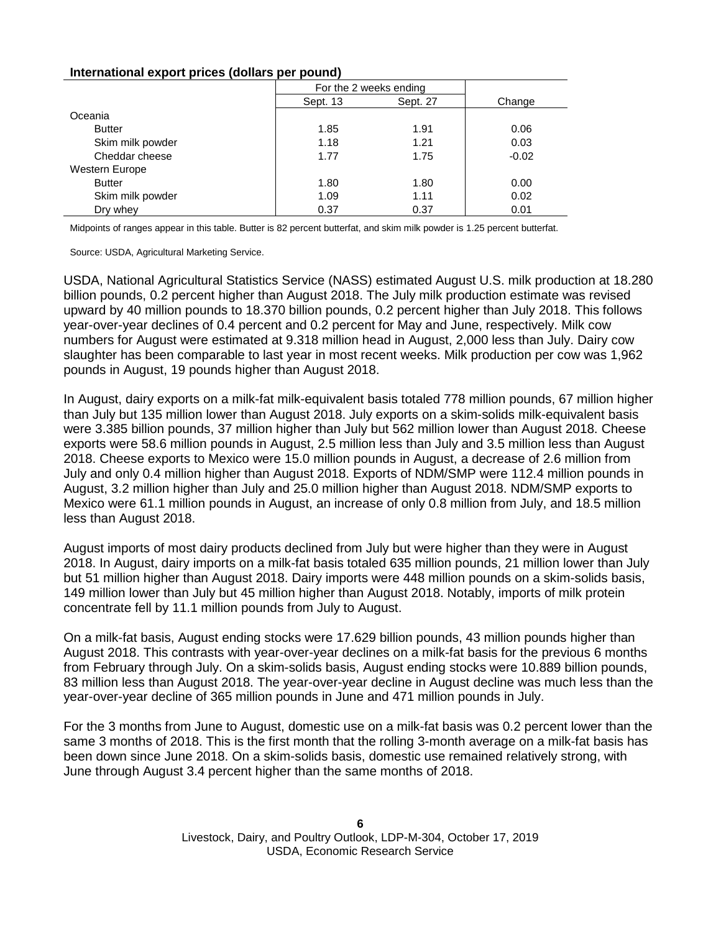#### **International export prices (dollars per pound)**

|                  | For the 2 weeks ending |          |         |
|------------------|------------------------|----------|---------|
|                  | Sept. 13               | Sept. 27 | Change  |
| Oceania          |                        |          |         |
| <b>Butter</b>    | 1.85                   | 1.91     | 0.06    |
| Skim milk powder | 1.18                   | 1.21     | 0.03    |
| Cheddar cheese   | 1.77                   | 1.75     | $-0.02$ |
| Western Europe   |                        |          |         |
| <b>Butter</b>    | 1.80                   | 1.80     | 0.00    |
| Skim milk powder | 1.09                   | 1.11     | 0.02    |
| Drv whev         | 0.37                   | 0.37     | 0.01    |

Midpoints of ranges appear in this table. Butter is 82 percent butterfat, and skim milk powder is 1.25 percent butterfat.

Source: USDA, Agricultural Marketing Service.

USDA, National Agricultural Statistics Service (NASS) estimated August U.S. milk production at 18.280 billion pounds, 0.2 percent higher than August 2018. The July milk production estimate was revised upward by 40 million pounds to 18.370 billion pounds, 0.2 percent higher than July 2018. This follows year-over-year declines of 0.4 percent and 0.2 percent for May and June, respectively. Milk cow numbers for August were estimated at 9.318 million head in August, 2,000 less than July. Dairy cow slaughter has been comparable to last year in most recent weeks. Milk production per cow was 1,962 pounds in August, 19 pounds higher than August 2018.

In August, dairy exports on a milk-fat milk-equivalent basis totaled 778 million pounds, 67 million higher than July but 135 million lower than August 2018. July exports on a skim-solids milk-equivalent basis were 3.385 billion pounds, 37 million higher than July but 562 million lower than August 2018. Cheese exports were 58.6 million pounds in August, 2.5 million less than July and 3.5 million less than August 2018. Cheese exports to Mexico were 15.0 million pounds in August, a decrease of 2.6 million from July and only 0.4 million higher than August 2018. Exports of NDM/SMP were 112.4 million pounds in August, 3.2 million higher than July and 25.0 million higher than August 2018. NDM/SMP exports to Mexico were 61.1 million pounds in August, an increase of only 0.8 million from July, and 18.5 million less than August 2018.

August imports of most dairy products declined from July but were higher than they were in August 2018. In August, dairy imports on a milk-fat basis totaled 635 million pounds, 21 million lower than July but 51 million higher than August 2018. Dairy imports were 448 million pounds on a skim-solids basis, 149 million lower than July but 45 million higher than August 2018. Notably, imports of milk protein concentrate fell by 11.1 million pounds from July to August.

On a milk-fat basis, August ending stocks were 17.629 billion pounds, 43 million pounds higher than August 2018. This contrasts with year-over-year declines on a milk-fat basis for the previous 6 months from February through July. On a skim-solids basis, August ending stocks were 10.889 billion pounds, 83 million less than August 2018. The year-over-year decline in August decline was much less than the year-over-year decline of 365 million pounds in June and 471 million pounds in July.

For the 3 months from June to August, domestic use on a milk-fat basis was 0.2 percent lower than the same 3 months of 2018. This is the first month that the rolling 3-month average on a milk-fat basis has been down since June 2018. On a skim-solids basis, domestic use remained relatively strong, with June through August 3.4 percent higher than the same months of 2018.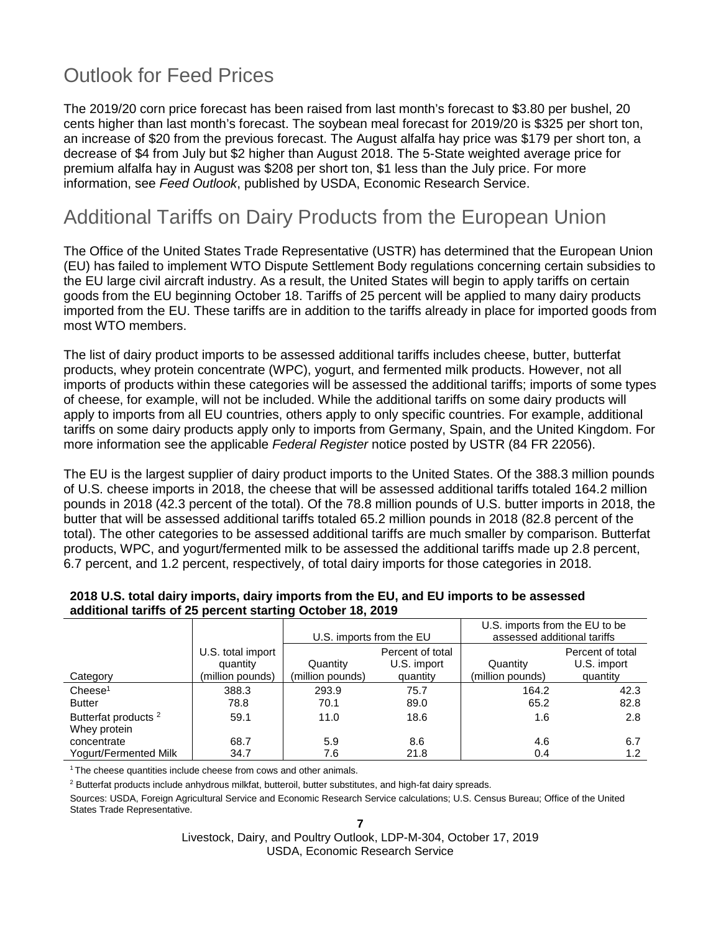## Outlook for Feed Prices

The 2019/20 corn price forecast has been raised from last month's forecast to \$3.80 per bushel, 20 cents higher than last month's forecast. The soybean meal forecast for 2019/20 is \$325 per short ton, an increase of \$20 from the previous forecast. The August alfalfa hay price was \$179 per short ton, a decrease of \$4 from July but \$2 higher than August 2018. The 5-State weighted average price for premium alfalfa hay in August was \$208 per short ton, \$1 less than the July price. For more information, see *Feed Outlook*, published by USDA, Economic Research Service.

## Additional Tariffs on Dairy Products from the European Union

The Office of the United States Trade Representative (USTR) has determined that the European Union (EU) has failed to implement WTO Dispute Settlement Body regulations concerning certain subsidies to the EU large civil aircraft industry. As a result, the United States will begin to apply tariffs on certain goods from the EU beginning October 18. Tariffs of 25 percent will be applied to many dairy products imported from the EU. These tariffs are in addition to the tariffs already in place for imported goods from most WTO members.

The list of dairy product imports to be assessed additional tariffs includes cheese, butter, butterfat products, whey protein concentrate (WPC), yogurt, and fermented milk products. However, not all imports of products within these categories will be assessed the additional tariffs; imports of some types of cheese, for example, will not be included. While the additional tariffs on some dairy products will apply to imports from all EU countries, others apply to only specific countries. For example, additional tariffs on some dairy products apply only to imports from Germany, Spain, and the United Kingdom. For more information see the applicable *Federal Register* notice posted by USTR (84 FR 22056).

The EU is the largest supplier of dairy product imports to the United States. Of the 388.3 million pounds of U.S. cheese imports in 2018, the cheese that will be assessed additional tariffs totaled 164.2 million pounds in 2018 (42.3 percent of the total). Of the 78.8 million pounds of U.S. butter imports in 2018, the butter that will be assessed additional tariffs totaled 65.2 million pounds in 2018 (82.8 percent of the total). The other categories to be assessed additional tariffs are much smaller by comparison. Butterfat products, WPC, and yogurt/fermented milk to be assessed the additional tariffs made up 2.8 percent, 6.7 percent, and 1.2 percent, respectively, of total dairy imports for those categories in 2018.

|                                                 |                                                   | U.S. imports from the EU     |                                             | U.S. imports from the EU to be<br>assessed additional tariffs |                                             |  |  |
|-------------------------------------------------|---------------------------------------------------|------------------------------|---------------------------------------------|---------------------------------------------------------------|---------------------------------------------|--|--|
| Category                                        | U.S. total import<br>quantity<br>(million pounds) | Quantity<br>(million pounds) | Percent of total<br>U.S. import<br>quantity | Quantity<br>(million pounds)                                  | Percent of total<br>U.S. import<br>quantity |  |  |
| Cheese <sup>1</sup>                             | 388.3                                             | 293.9                        | 75.7                                        | 164.2                                                         | 42.3                                        |  |  |
| <b>Butter</b>                                   | 78.8                                              | 70.1                         | 89.0                                        | 65.2                                                          | 82.8                                        |  |  |
| Butterfat products <sup>2</sup><br>Whey protein | 59.1                                              | 11.0                         | 18.6                                        | 1.6                                                           | 2.8                                         |  |  |
| concentrate                                     | 68.7                                              | 5.9                          | 8.6                                         | 4.6                                                           | 6.7                                         |  |  |
| Yogurt/Fermented Milk                           | 34.7                                              | 7.6                          | 21.8                                        | 0.4                                                           | 1.2                                         |  |  |

#### **2018 U.S. total dairy imports, dairy imports from the EU, and EU imports to be assessed additional tariffs of 25 percent starting October 18, 2019**

<sup>1</sup> The cheese quantities include cheese from cows and other animals.

<sup>2</sup> Butterfat products include anhydrous milkfat, butteroil, butter substitutes, and high-fat dairy spreads.

Sources: USDA, Foreign Agricultural Service and Economic Research Service calculations; U.S. Census Bureau; Office of the United States Trade Representative.

**7**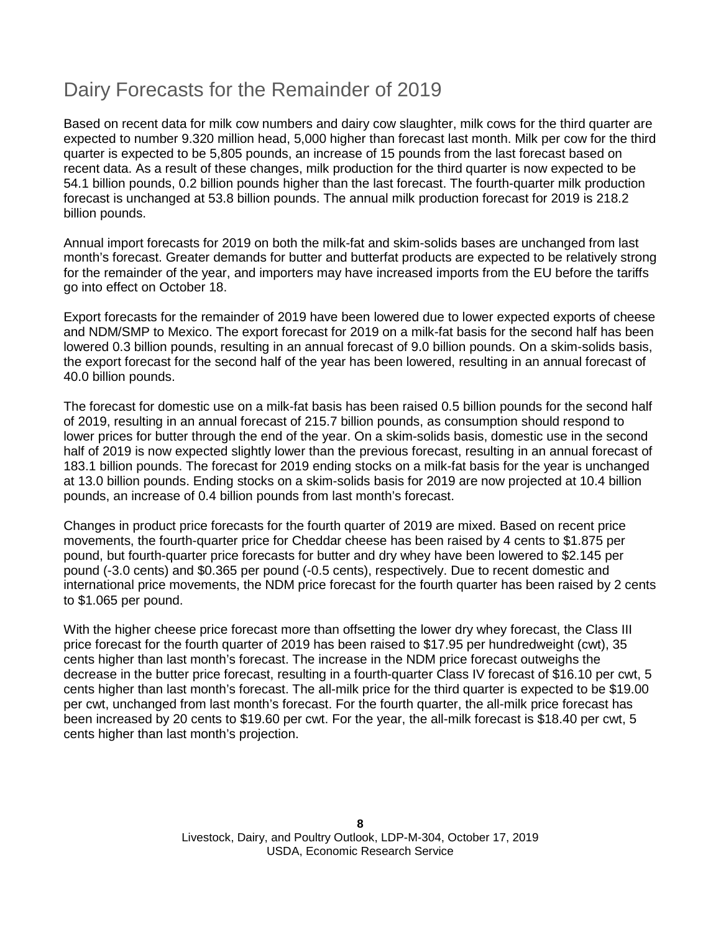## Dairy Forecasts for the Remainder of 2019

Based on recent data for milk cow numbers and dairy cow slaughter, milk cows for the third quarter are expected to number 9.320 million head, 5,000 higher than forecast last month. Milk per cow for the third quarter is expected to be 5,805 pounds, an increase of 15 pounds from the last forecast based on recent data. As a result of these changes, milk production for the third quarter is now expected to be 54.1 billion pounds, 0.2 billion pounds higher than the last forecast. The fourth-quarter milk production forecast is unchanged at 53.8 billion pounds. The annual milk production forecast for 2019 is 218.2 billion pounds.

Annual import forecasts for 2019 on both the milk-fat and skim-solids bases are unchanged from last month's forecast. Greater demands for butter and butterfat products are expected to be relatively strong for the remainder of the year, and importers may have increased imports from the EU before the tariffs go into effect on October 18.

Export forecasts for the remainder of 2019 have been lowered due to lower expected exports of cheese and NDM/SMP to Mexico. The export forecast for 2019 on a milk-fat basis for the second half has been lowered 0.3 billion pounds, resulting in an annual forecast of 9.0 billion pounds. On a skim-solids basis, the export forecast for the second half of the year has been lowered, resulting in an annual forecast of 40.0 billion pounds.

The forecast for domestic use on a milk-fat basis has been raised 0.5 billion pounds for the second half of 2019, resulting in an annual forecast of 215.7 billion pounds, as consumption should respond to lower prices for butter through the end of the year. On a skim-solids basis, domestic use in the second half of 2019 is now expected slightly lower than the previous forecast, resulting in an annual forecast of 183.1 billion pounds. The forecast for 2019 ending stocks on a milk-fat basis for the year is unchanged at 13.0 billion pounds. Ending stocks on a skim-solids basis for 2019 are now projected at 10.4 billion pounds, an increase of 0.4 billion pounds from last month's forecast.

Changes in product price forecasts for the fourth quarter of 2019 are mixed. Based on recent price movements, the fourth-quarter price for Cheddar cheese has been raised by 4 cents to \$1.875 per pound, but fourth-quarter price forecasts for butter and dry whey have been lowered to \$2.145 per pound (-3.0 cents) and \$0.365 per pound (-0.5 cents), respectively. Due to recent domestic and international price movements, the NDM price forecast for the fourth quarter has been raised by 2 cents to \$1.065 per pound.

With the higher cheese price forecast more than offsetting the lower dry whey forecast, the Class III price forecast for the fourth quarter of 2019 has been raised to \$17.95 per hundredweight (cwt), 35 cents higher than last month's forecast. The increase in the NDM price forecast outweighs the decrease in the butter price forecast, resulting in a fourth-quarter Class IV forecast of \$16.10 per cwt, 5 cents higher than last month's forecast. The all-milk price for the third quarter is expected to be \$19.00 per cwt, unchanged from last month's forecast. For the fourth quarter, the all-milk price forecast has been increased by 20 cents to \$19.60 per cwt. For the year, the all-milk forecast is \$18.40 per cwt, 5 cents higher than last month's projection.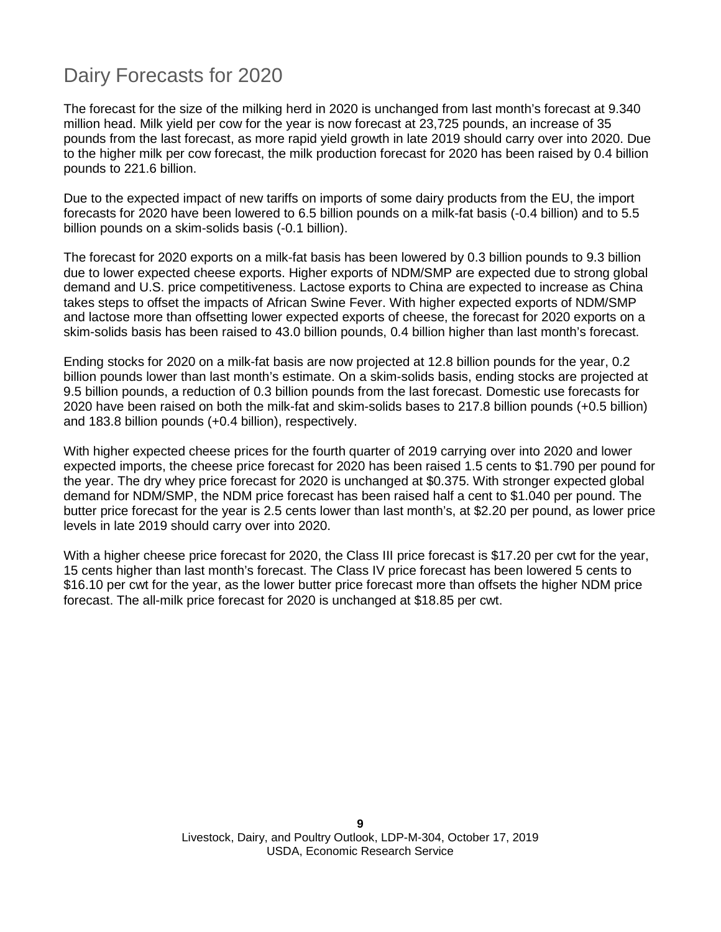## Dairy Forecasts for 2020

The forecast for the size of the milking herd in 2020 is unchanged from last month's forecast at 9.340 million head. Milk yield per cow for the year is now forecast at 23,725 pounds, an increase of 35 pounds from the last forecast, as more rapid yield growth in late 2019 should carry over into 2020. Due to the higher milk per cow forecast, the milk production forecast for 2020 has been raised by 0.4 billion pounds to 221.6 billion.

Due to the expected impact of new tariffs on imports of some dairy products from the EU, the import forecasts for 2020 have been lowered to 6.5 billion pounds on a milk-fat basis (-0.4 billion) and to 5.5 billion pounds on a skim-solids basis (-0.1 billion).

The forecast for 2020 exports on a milk-fat basis has been lowered by 0.3 billion pounds to 9.3 billion due to lower expected cheese exports. Higher exports of NDM/SMP are expected due to strong global demand and U.S. price competitiveness. Lactose exports to China are expected to increase as China takes steps to offset the impacts of African Swine Fever. With higher expected exports of NDM/SMP and lactose more than offsetting lower expected exports of cheese, the forecast for 2020 exports on a skim-solids basis has been raised to 43.0 billion pounds, 0.4 billion higher than last month's forecast.

Ending stocks for 2020 on a milk-fat basis are now projected at 12.8 billion pounds for the year, 0.2 billion pounds lower than last month's estimate. On a skim-solids basis, ending stocks are projected at 9.5 billion pounds, a reduction of 0.3 billion pounds from the last forecast. Domestic use forecasts for 2020 have been raised on both the milk-fat and skim-solids bases to 217.8 billion pounds (+0.5 billion) and 183.8 billion pounds (+0.4 billion), respectively.

With higher expected cheese prices for the fourth quarter of 2019 carrying over into 2020 and lower expected imports, the cheese price forecast for 2020 has been raised 1.5 cents to \$1.790 per pound for the year. The dry whey price forecast for 2020 is unchanged at \$0.375. With stronger expected global demand for NDM/SMP, the NDM price forecast has been raised half a cent to \$1.040 per pound. The butter price forecast for the year is 2.5 cents lower than last month's, at \$2.20 per pound, as lower price levels in late 2019 should carry over into 2020.

With a higher cheese price forecast for 2020, the Class III price forecast is \$17.20 per cwt for the year, 15 cents higher than last month's forecast. The Class IV price forecast has been lowered 5 cents to \$16.10 per cwt for the year, as the lower butter price forecast more than offsets the higher NDM price forecast. The all-milk price forecast for 2020 is unchanged at \$18.85 per cwt.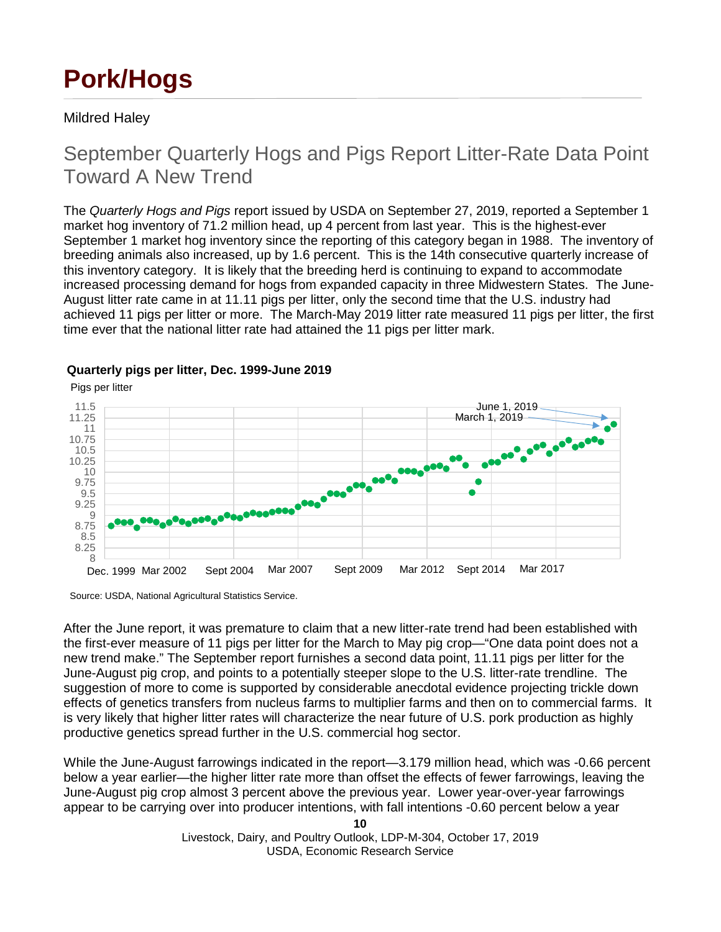# **Pork/Hogs**

#### Mildred Haley

## September Quarterly Hogs and Pigs Report Litter-Rate Data Point Toward A New Trend

The *Quarterly Hogs and Pigs* report issued by USDA on September 27, 2019, reported a September 1 market hog inventory of 71.2 million head, up 4 percent from last year. This is the highest-ever September 1 market hog inventory since the reporting of this category began in 1988. The inventory of breeding animals also increased, up by 1.6 percent. This is the 14th consecutive quarterly increase of this inventory category. It is likely that the breeding herd is continuing to expand to accommodate increased processing demand for hogs from expanded capacity in three Midwestern States. The June-August litter rate came in at 11.11 pigs per litter, only the second time that the U.S. industry had achieved 11 pigs per litter or more. The March-May 2019 litter rate measured 11 pigs per litter, the first time ever that the national litter rate had attained the 11 pigs per litter mark.



#### **Quarterly pigs per litter, Dec. 1999-June 2019**

Source: USDA, National Agricultural Statistics Service.

After the June report, it was premature to claim that a new litter-rate trend had been established with the first-ever measure of 11 pigs per litter for the March to May pig crop—"One data point does not a new trend make." The September report furnishes a second data point, 11.11 pigs per litter for the June-August pig crop, and points to a potentially steeper slope to the U.S. litter-rate trendline. The suggestion of more to come is supported by considerable anecdotal evidence projecting trickle down effects of genetics transfers from nucleus farms to multiplier farms and then on to commercial farms. It is very likely that higher litter rates will characterize the near future of U.S. pork production as highly productive genetics spread further in the U.S. commercial hog sector.

While the June-August farrowings indicated in the report—3.179 million head, which was -0.66 percent below a year earlier—the higher litter rate more than offset the effects of fewer farrowings, leaving the June-August pig crop almost 3 percent above the previous year. Lower year-over-year farrowings appear to be carrying over into producer intentions, with fall intentions -0.60 percent below a year

**<sup>10</sup>**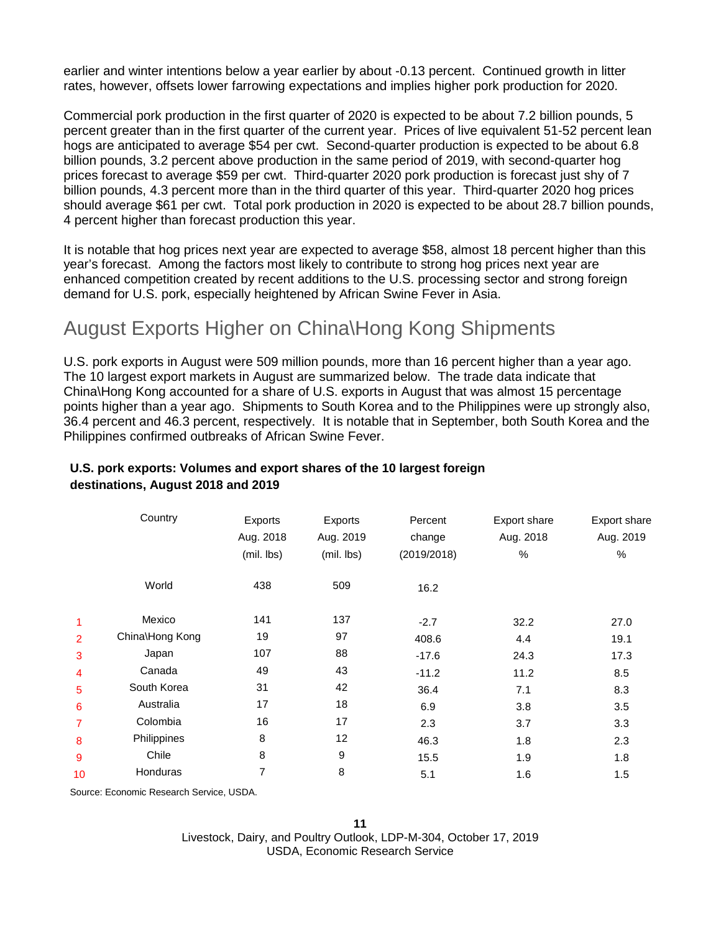earlier and winter intentions below a year earlier by about -0.13 percent. Continued growth in litter rates, however, offsets lower farrowing expectations and implies higher pork production for 2020.

Commercial pork production in the first quarter of 2020 is expected to be about 7.2 billion pounds, 5 percent greater than in the first quarter of the current year. Prices of live equivalent 51-52 percent lean hogs are anticipated to average \$54 per cwt. Second-quarter production is expected to be about 6.8 billion pounds, 3.2 percent above production in the same period of 2019, with second-quarter hog prices forecast to average \$59 per cwt. Third-quarter 2020 pork production is forecast just shy of 7 billion pounds, 4.3 percent more than in the third quarter of this year. Third-quarter 2020 hog prices should average \$61 per cwt. Total pork production in 2020 is expected to be about 28.7 billion pounds, 4 percent higher than forecast production this year.

It is notable that hog prices next year are expected to average \$58, almost 18 percent higher than this year's forecast. Among the factors most likely to contribute to strong hog prices next year are enhanced competition created by recent additions to the U.S. processing sector and strong foreign demand for U.S. pork, especially heightened by African Swine Fever in Asia.

### August Exports Higher on China\Hong Kong Shipments

U.S. pork exports in August were 509 million pounds, more than 16 percent higher than a year ago. The 10 largest export markets in August are summarized below. The trade data indicate that China\Hong Kong accounted for a share of U.S. exports in August that was almost 15 percentage points higher than a year ago. Shipments to South Korea and to the Philippines were up strongly also, 36.4 percent and 46.3 percent, respectively. It is notable that in September, both South Korea and the Philippines confirmed outbreaks of African Swine Fever.

|                | Country         | Exports    | Exports    | Percent     | Export share | Export share |
|----------------|-----------------|------------|------------|-------------|--------------|--------------|
|                |                 | Aug. 2018  | Aug. 2019  | change      | Aug. 2018    | Aug. 2019    |
|                |                 | (mil. lbs) | (mil. lbs) | (2019/2018) | %            | %            |
|                | World           | 438        | 509        | 16.2        |              |              |
| 1              | Mexico          | 141        | 137        | $-2.7$      | 32.2         | 27.0         |
| $\overline{2}$ | China\Hong Kong | 19         | 97         | 408.6       | 4.4          | 19.1         |
| 3              | Japan           | 107        | 88         | $-17.6$     | 24.3         | 17.3         |
| 4              | Canada          | 49         | 43         | $-11.2$     | 11.2         | 8.5          |
| 5              | South Korea     | 31         | 42         | 36.4        | 7.1          | 8.3          |
| 6              | Australia       | 17         | 18         | 6.9         | 3.8          | 3.5          |
| 7              | Colombia        | 16         | 17         | 2.3         | 3.7          | 3.3          |
| 8              | Philippines     | 8          | 12         | 46.3        | 1.8          | 2.3          |
| 9              | Chile           | 8          | 9          | 15.5        | 1.9          | 1.8          |
| 10             | Honduras        | 7          | 8          | 5.1         | 1.6          | 1.5          |
|                |                 |            |            |             |              |              |

#### **U.S. pork exports: Volumes and export shares of the 10 largest foreign destinations, August 2018 and 2019**

Source: Economic Research Service, USDA.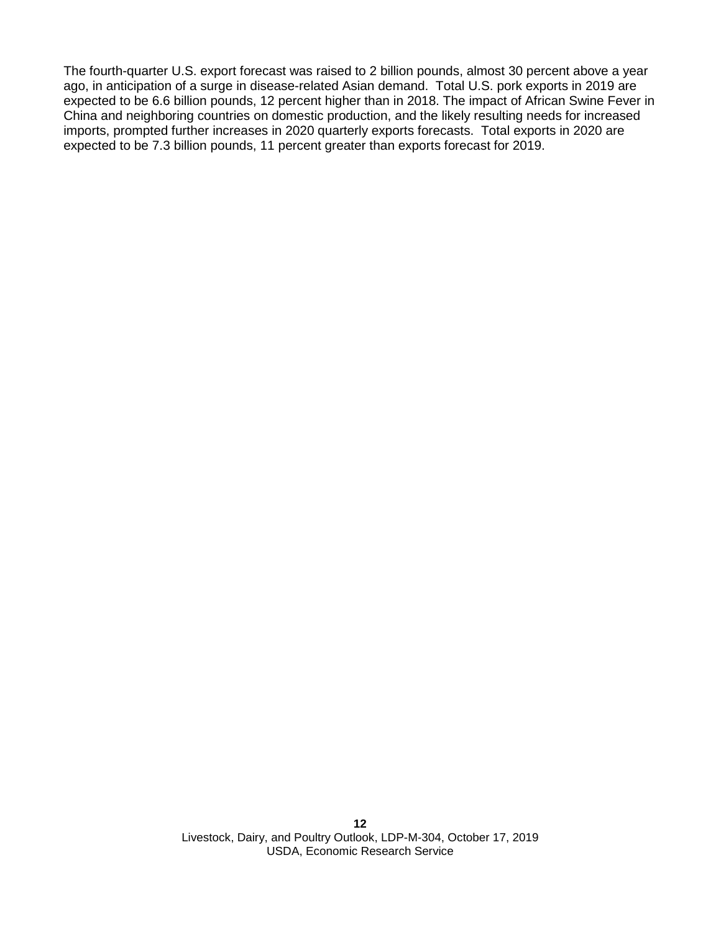The fourth-quarter U.S. export forecast was raised to 2 billion pounds, almost 30 percent above a year ago, in anticipation of a surge in disease-related Asian demand. Total U.S. pork exports in 2019 are expected to be 6.6 billion pounds, 12 percent higher than in 2018. The impact of African Swine Fever in China and neighboring countries on domestic production, and the likely resulting needs for increased imports, prompted further increases in 2020 quarterly exports forecasts. Total exports in 2020 are expected to be 7.3 billion pounds, 11 percent greater than exports forecast for 2019.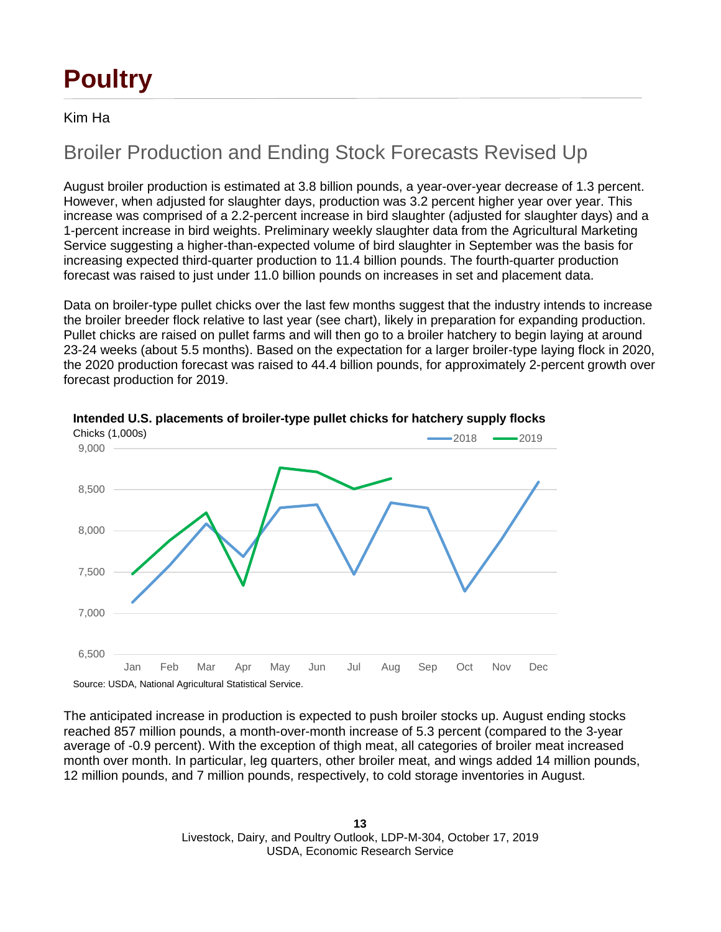# **Poultry**

#### Kim Ha

## Broiler Production and Ending Stock Forecasts Revised Up

August broiler production is estimated at 3.8 billion pounds, a year-over-year decrease of 1.3 percent. However, when adjusted for slaughter days, production was 3.2 percent higher year over year. This increase was comprised of a 2.2-percent increase in bird slaughter (adjusted for slaughter days) and a 1-percent increase in bird weights. Preliminary weekly slaughter data from the Agricultural Marketing Service suggesting a higher-than-expected volume of bird slaughter in September was the basis for increasing expected third-quarter production to 11.4 billion pounds. The fourth-quarter production forecast was raised to just under 11.0 billion pounds on increases in set and placement data.

Data on broiler-type pullet chicks over the last few months suggest that the industry intends to increase the broiler breeder flock relative to last year (see chart), likely in preparation for expanding production. Pullet chicks are raised on pullet farms and will then go to a broiler hatchery to begin laying at around 23-24 weeks (about 5.5 months). Based on the expectation for a larger broiler-type laying flock in 2020, the 2020 production forecast was raised to 44.4 billion pounds, for approximately 2-percent growth over forecast production for 2019.



**Intended U.S. placements of broiler-type pullet chicks for hatchery supply flocks**

The anticipated increase in production is expected to push broiler stocks up. August ending stocks reached 857 million pounds, a month-over-month increase of 5.3 percent (compared to the 3-year average of -0.9 percent). With the exception of thigh meat, all categories of broiler meat increased month over month. In particular, leg quarters, other broiler meat, and wings added 14 million pounds, 12 million pounds, and 7 million pounds, respectively, to cold storage inventories in August.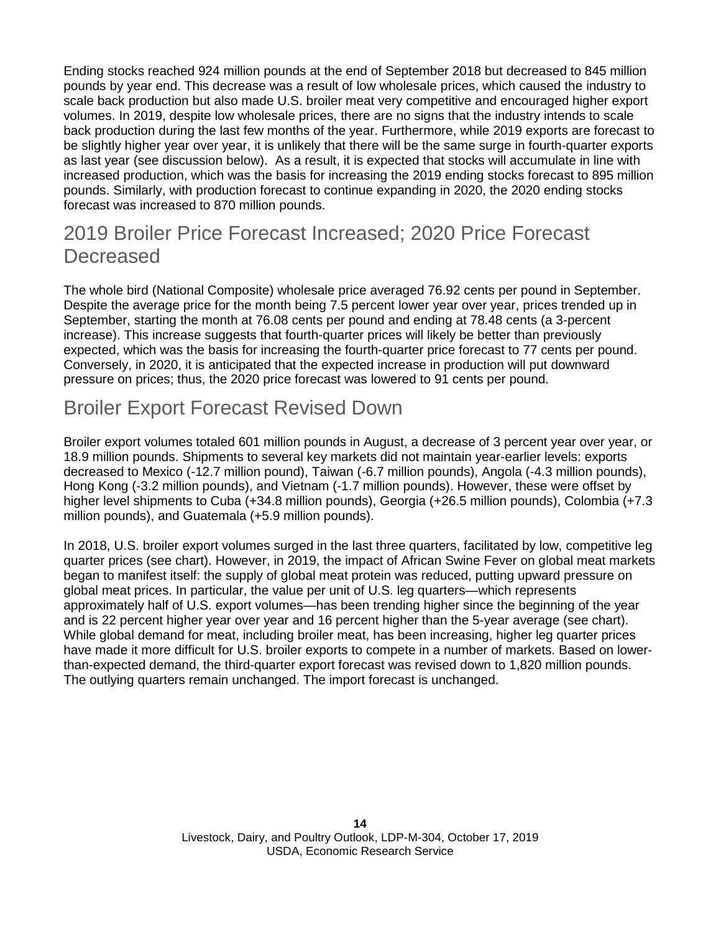Ending stocks reached 924 million pounds at the end of September 2018 but decreased to 845 million pounds by year end. This decrease was a result of low wholesale prices, which caused the industry to scale back production but also made U.S. broiler meat very competitive and encouraged higher export volumes. In 2019, despite low wholesale prices, there are no signs that the industry intends to scale back production during the last few months of the year. Furthermore, while 2019 exports are forecast to be slightly higher year over year, it is unlikely that there will be the same surge in fourth-quarter exports as last year (see discussion below). As a result, it is expected that stocks will accumulate in line with increased production, which was the basis for increasing the 2019 ending stocks forecast to 895 million pounds. Similarly, with production forecast to continue expanding in 2020, the 2020 ending stocks forecast was increased to 870 million pounds.

## 2019 Broiler Price Forecast Increased; 2020 Price Forecast **Decreased**

The whole bird (National Composite) wholesale price averaged 76.92 cents per pound in September. Despite the average price for the month being 7.5 percent lower year over year, prices trended up in September, starting the month at 76.08 cents per pound and ending at 78.48 cents (a 3-percent increase). This increase suggests that fourth-quarter prices will likely be better than previously expected, which was the basis for increasing the fourth-quarter price forecast to 77 cents per pound. Conversely, in 2020, it is anticipated that the expected increase in production will put downward pressure on prices; thus, the 2020 price forecast was lowered to 91 cents per pound.

## Broiler Export Forecast Revised Down

Broiler export volumes totaled 601 million pounds in August, a decrease of 3 percent year over year, or 18.9 million pounds. Shipments to several key markets did not maintain year-earlier levels: exports decreased to Mexico (-12.7 million pound), Taiwan (-6.7 million pounds), Angola (-4.3 million pounds), Hong Kong (-3.2 million pounds), and Vietnam (-1.7 million pounds). However, these were offset by higher level shipments to Cuba (+34.8 million pounds), Georgia (+26.5 million pounds), Colombia (+7.3 million pounds), and Guatemala (+5.9 million pounds).

In 2018, U.S. broiler export volumes surged in the last three quarters, facilitated by low, competitive leg quarter prices (see chart). However, in 2019, the impact of African Swine Fever on global meat markets began to manifest itself: the supply of global meat protein was reduced, putting upward pressure on global meat prices. In particular, the value per unit of U.S. leg quarters—which represents approximately half of U.S. export volumes—has been trending higher since the beginning of the year and is 22 percent higher year over year and 16 percent higher than the 5-year average (see chart). While global demand for meat, including broiler meat, has been increasing, higher leg quarter prices have made it more difficult for U.S. broiler exports to compete in a number of markets. Based on lowerthan-expected demand, the third-quarter export forecast was revised down to 1,820 million pounds. The outlying quarters remain unchanged. The import forecast is unchanged.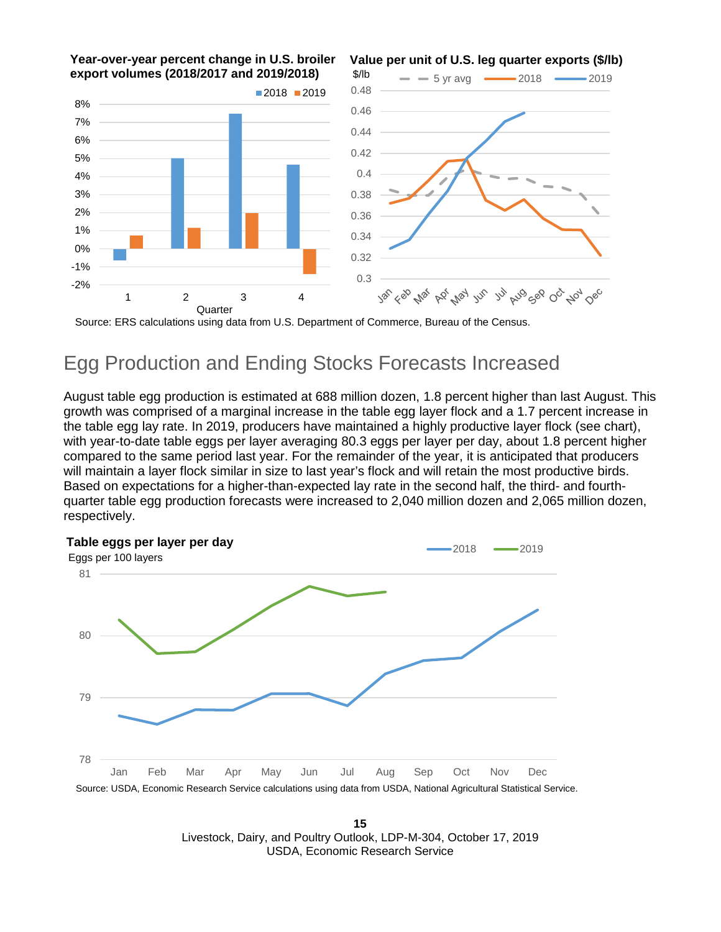

Source: ERS calculations using data from U.S. Department of Commerce, Bureau of the Census.

## Egg Production and Ending Stocks Forecasts Increased

August table egg production is estimated at 688 million dozen, 1.8 percent higher than last August. This growth was comprised of a marginal increase in the table egg layer flock and a 1.7 percent increase in the table egg lay rate. In 2019, producers have maintained a highly productive layer flock (see chart), with year-to-date table eggs per layer averaging 80.3 eggs per 100 layers per day, about 1.8 percent higher compared to the same period last year. For the remainder of the year, it is anticipated that producers will maintain a layer flock similar in size to last year's flock and will retain the most productive birds. Based on expectations for a higher-than-expected lay rate in the second half, the third- and fourth- quarter table egg production forecasts were increased to 2,040 million dozen and 2,065 million dozen, respectively.



**15** Livestock, Dairy, and Poultry Outlook, LDP-M-304, October 17, 2019 USDA, Economic Research Service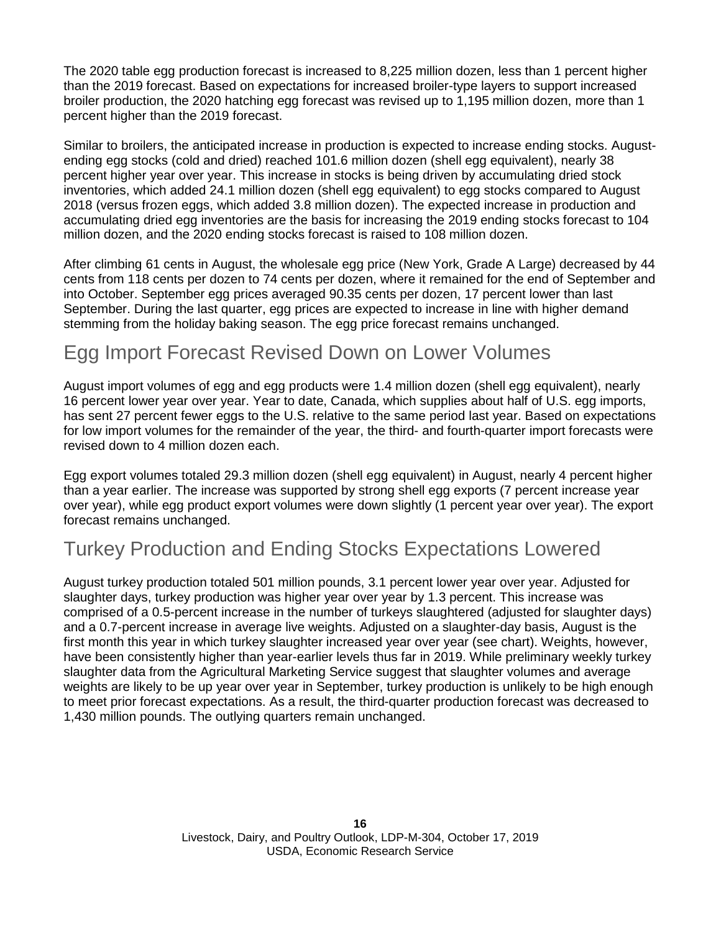The 2020 table egg production forecast is increased to 8,225 million dozen, less than 1 percent higher than the 2019 forecast. Based on expectations for increased broiler-type layers to support increased broiler production, the 2020 hatching egg forecast was revised up to 1,195 million dozen, more than 1 percent higher than the 2019 forecast.

Similar to broilers, the anticipated increase in production is expected to increase ending stocks. Augustending egg stocks (cold and dried) reached 101.6 million dozen (shell egg equivalent), nearly 38 percent higher year over year. This increase in stocks is being driven by accumulating dried stock inventories, which added 24.1 million dozen (shell egg equivalent) to egg stocks compared to August 2018 (versus frozen eggs, which added 3.8 million dozen). The expected increase in production and accumulating dried egg inventories are the basis for increasing the 2019 ending stocks forecast to 104 million dozen, and the 2020 ending stocks forecast is raised to 108 million dozen.

After climbing 61 cents in August, the wholesale egg price (New York, Grade A Large) decreased by 44 cents from 118 cents per dozen to 74 cents per dozen, where it remained for the end of September and into October. September egg prices averaged 90.35 cents per dozen, 17 percent lower than last September. During the last quarter, egg prices are expected to increase in line with higher demand stemming from the holiday baking season. The egg price forecast remains unchanged.

## Egg Import Forecast Revised Down on Lower Volumes

August import volumes of egg and egg products were 1.4 million dozen (shell egg equivalent), nearly 16 percent lower year over year. Year to date, Canada, which supplies about half of U.S. egg imports, has sent 27 percent fewer eggs to the U.S. relative to the same period last year. Based on expectations for low import volumes for the remainder of the year, the third- and fourth-quarter import forecasts were revised down to 4 million dozen each.

Egg export volumes totaled 29.3 million dozen (shell egg equivalent) in August, nearly 4 percent higher than a year earlier. The increase was supported by strong shell egg exports (7 percent increase year over year), while egg product export volumes were down slightly (1 percent year over year). The export forecast remains unchanged.

### Turkey Production and Ending Stocks Expectations Lowered

August turkey production totaled 501 million pounds, 3.1 percent lower year over year. Adjusted for slaughter days, turkey production was higher year over year by 1.3 percent. This increase was comprised of a 0.5-percent increase in the number of turkeys slaughtered (adjusted for slaughter days) and a 0.7-percent increase in average live weights. Adjusted on a slaughter-day basis, August is the first month this year in which turkey slaughter increased year over year (see chart). Weights, however, have been consistently higher than year-earlier levels thus far in 2019. While preliminary weekly turkey slaughter data from the Agricultural Marketing Service suggest that slaughter volumes and average weights are likely to be up year over year in September, turkey production is unlikely to be high enough to meet prior forecast expectations. As a result, the third-quarter production forecast was decreased to 1,430 million pounds. The outlying quarters remain unchanged.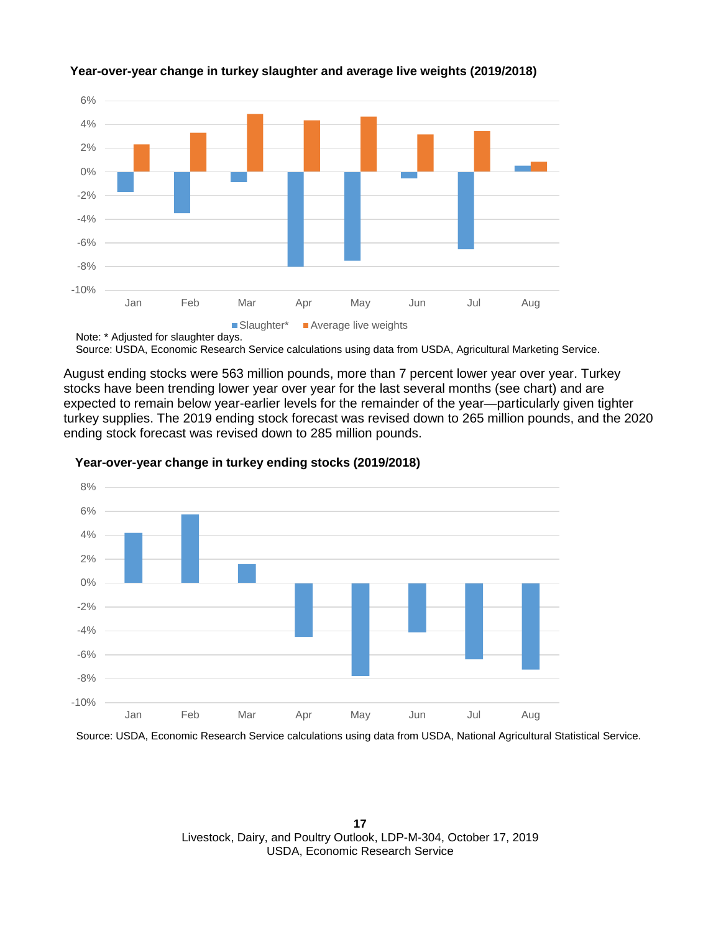

#### **Year-over-year change in turkey slaughter and average live weights (2019/2018)**

Source: USDA, Economic Research Service calculations using data from USDA, Agricultural Marketing Service.

August ending stocks were 563 million pounds, more than 7 percent lower year over year. Turkey stocks have been trending lower year over year for the last several months (see chart) and are expected to remain below year-earlier levels for the remainder of the year—particularly given tighter turkey supplies. The 2019 ending stock forecast was revised down to 265 million pounds, and the 2020 ending stock forecast was revised down to 285 million pounds.



#### **Year-over-year change in turkey ending stocks (2019/2018)**

Source: USDA, Economic Research Service calculations using data from USDA, National Agricultural Statistical Service.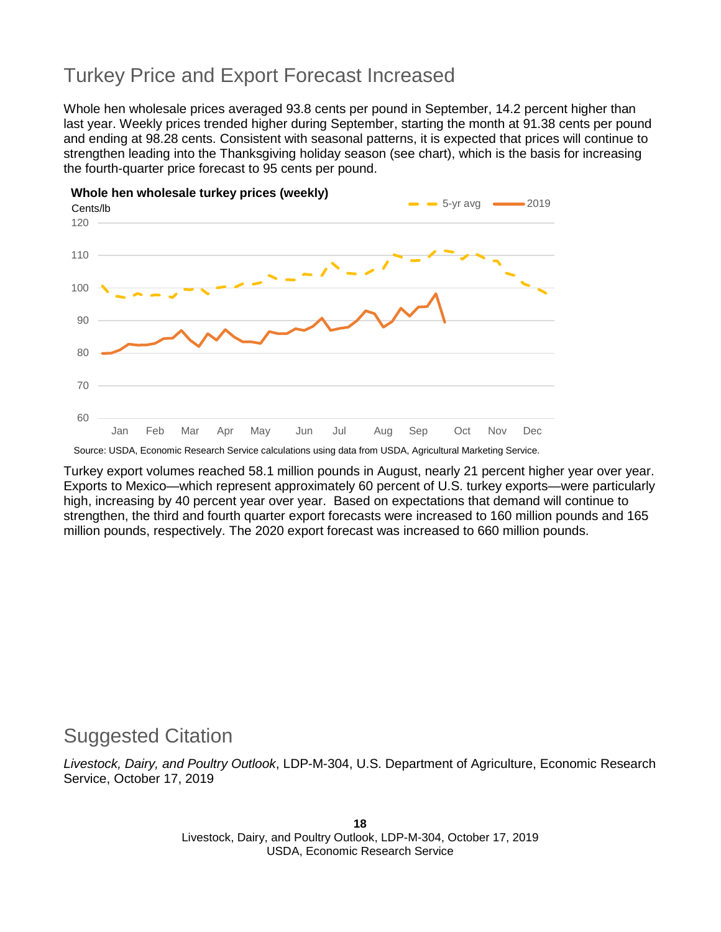## Turkey Price and Export Forecast Increased

Whole hen wholesale prices averaged 93.8 cents per pound in September, 14.2 percent higher than last year. Weekly prices trended higher during September, starting the month at 91.38 cents per pound and ending at 98.28 cents. Consistent with seasonal patterns, it is expected that prices will continue to strengthen leading into the Thanksgiving holiday season (see chart), which is the basis for increasing the fourth-quarter price forecast to 95 cents per pound.



Source: USDA, Economic Research Service calculations using data from USDA, Agricultural Marketing Service.

Turkey export volumes reached 58.1 million pounds in August, nearly 21 percent higher year over year. Exports to Mexico—which represent approximately 60 percent of U.S. turkey exports—were particularly high, increasing by 40 percent year over year. Based on expectations that demand will continue to strengthen, the third and fourth quarter export forecasts were increased to 160 million pounds and 165 million pounds, respectively. The 2020 export forecast was increased to 660 million pounds.

### Suggested Citation

*Livestock, Dairy, and Poultry Outlook*, LDP-M-304, U.S. Department of Agriculture, Economic Research Service, October 17, 2019